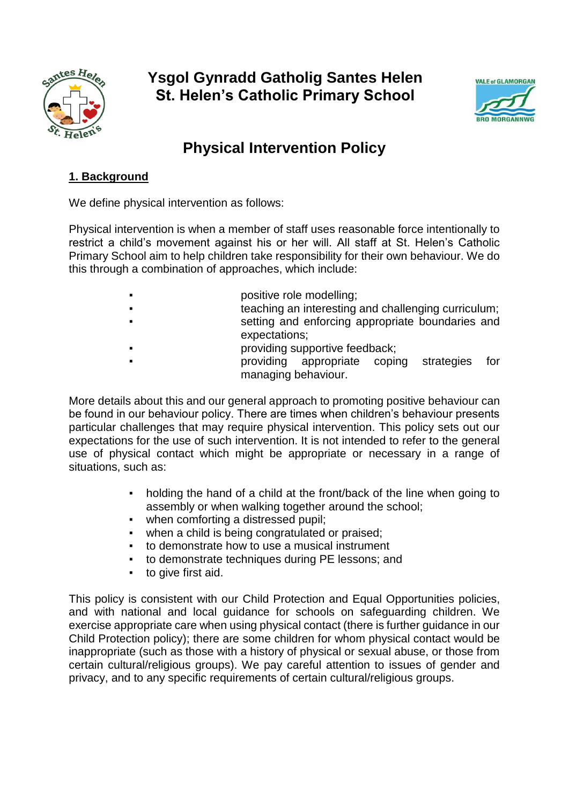

# **Ysgol Gynradd Gatholig Santes Helen St. Helen's Catholic Primary School**



# **Physical Intervention Policy**

# **1. Background**

We define physical intervention as follows:

Physical intervention is when a member of staff uses reasonable force intentionally to restrict a child's movement against his or her will. All staff at St. Helen's Catholic Primary School aim to help children take responsibility for their own behaviour. We do this through a combination of approaches, which include:

- positive role modelling;
- teaching an interesting and challenging curriculum; setting and enforcing appropriate boundaries and expectations;
- providing supportive feedback;
	- providing appropriate coping strategies for
		- managing behaviour.

More details about this and our general approach to promoting positive behaviour can be found in our behaviour policy. There are times when children's behaviour presents particular challenges that may require physical intervention. This policy sets out our expectations for the use of such intervention. It is not intended to refer to the general use of physical contact which might be appropriate or necessary in a range of situations, such as:

- holding the hand of a child at the front/back of the line when going to assembly or when walking together around the school;
- when comforting a distressed pupil;
- when a child is being congratulated or praised;
- to demonstrate how to use a musical instrument
- to demonstrate techniques during PE lessons; and
- to give first aid.

This policy is consistent with our Child Protection and Equal Opportunities policies, and with national and local guidance for schools on safeguarding children. We exercise appropriate care when using physical contact (there is further guidance in our Child Protection policy); there are some children for whom physical contact would be inappropriate (such as those with a history of physical or sexual abuse, or those from certain cultural/religious groups). We pay careful attention to issues of gender and privacy, and to any specific requirements of certain cultural/religious groups.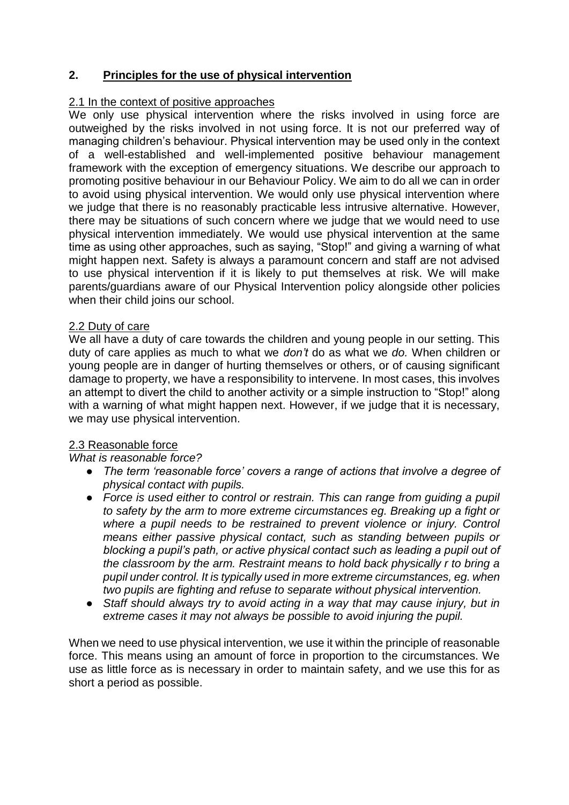# **2. Principles for the use of physical intervention**

#### 2.1 In the context of positive approaches

We only use physical intervention where the risks involved in using force are outweighed by the risks involved in not using force. It is not our preferred way of managing children's behaviour. Physical intervention may be used only in the context of a well-established and well-implemented positive behaviour management framework with the exception of emergency situations. We describe our approach to promoting positive behaviour in our Behaviour Policy. We aim to do all we can in order to avoid using physical intervention. We would only use physical intervention where we judge that there is no reasonably practicable less intrusive alternative. However, there may be situations of such concern where we judge that we would need to use physical intervention immediately. We would use physical intervention at the same time as using other approaches, such as saying, "Stop!" and giving a warning of what might happen next. Safety is always a paramount concern and staff are not advised to use physical intervention if it is likely to put themselves at risk. We will make parents/guardians aware of our Physical Intervention policy alongside other policies when their child joins our school.

#### 2.2 Duty of care

We all have a duty of care towards the children and young people in our setting. This duty of care applies as much to what we *don't* do as what we *do.* When children or young people are in danger of hurting themselves or others, or of causing significant damage to property, we have a responsibility to intervene. In most cases, this involves an attempt to divert the child to another activity or a simple instruction to "Stop!" along with a warning of what might happen next. However, if we judge that it is necessary, we may use physical intervention.

# 2.3 Reasonable force

*What is reasonable force?*

- *The term 'reasonable force' covers a range of actions that involve a degree of physical contact with pupils.*
- *Force is used either to control or restrain. This can range from guiding a pupil to safety by the arm to more extreme circumstances eg. Breaking up a fight or where a pupil needs to be restrained to prevent violence or injury. Control means either passive physical contact, such as standing between pupils or blocking a pupil's path, or active physical contact such as leading a pupil out of the classroom by the arm. Restraint means to hold back physically r to bring a pupil under control. It is typically used in more extreme circumstances, eg. when two pupils are fighting and refuse to separate without physical intervention.*
- Staff should always try to avoid acting in a way that may cause injury, but in *extreme cases it may not always be possible to avoid injuring the pupil.*

When we need to use physical intervention, we use it within the principle of reasonable force. This means using an amount of force in proportion to the circumstances. We use as little force as is necessary in order to maintain safety, and we use this for as short a period as possible.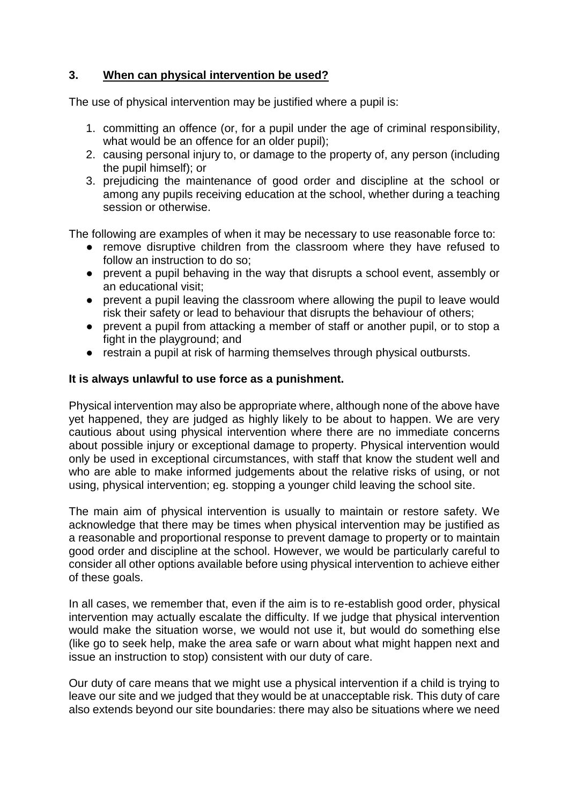# **3. When can physical intervention be used?**

The use of physical intervention may be justified where a pupil is:

- 1. committing an offence (or, for a pupil under the age of criminal responsibility, what would be an offence for an older pupil);
- 2. causing personal injury to, or damage to the property of, any person (including the pupil himself); or
- 3. prejudicing the maintenance of good order and discipline at the school or among any pupils receiving education at the school, whether during a teaching session or otherwise.

The following are examples of when it may be necessary to use reasonable force to:

- remove disruptive children from the classroom where they have refused to follow an instruction to do so;
- prevent a pupil behaving in the way that disrupts a school event, assembly or an educational visit;
- prevent a pupil leaving the classroom where allowing the pupil to leave would risk their safety or lead to behaviour that disrupts the behaviour of others;
- prevent a pupil from attacking a member of staff or another pupil, or to stop a fight in the playground; and
- restrain a pupil at risk of harming themselves through physical outbursts.

#### **It is always unlawful to use force as a punishment.**

Physical intervention may also be appropriate where, although none of the above have yet happened, they are judged as highly likely to be about to happen. We are very cautious about using physical intervention where there are no immediate concerns about possible injury or exceptional damage to property. Physical intervention would only be used in exceptional circumstances, with staff that know the student well and who are able to make informed judgements about the relative risks of using, or not using, physical intervention; eg. stopping a younger child leaving the school site.

The main aim of physical intervention is usually to maintain or restore safety. We acknowledge that there may be times when physical intervention may be justified as a reasonable and proportional response to prevent damage to property or to maintain good order and discipline at the school. However, we would be particularly careful to consider all other options available before using physical intervention to achieve either of these goals.

In all cases, we remember that, even if the aim is to re-establish good order, physical intervention may actually escalate the difficulty. If we judge that physical intervention would make the situation worse, we would not use it, but would do something else (like go to seek help, make the area safe or warn about what might happen next and issue an instruction to stop) consistent with our duty of care.

Our duty of care means that we might use a physical intervention if a child is trying to leave our site and we judged that they would be at unacceptable risk. This duty of care also extends beyond our site boundaries: there may also be situations where we need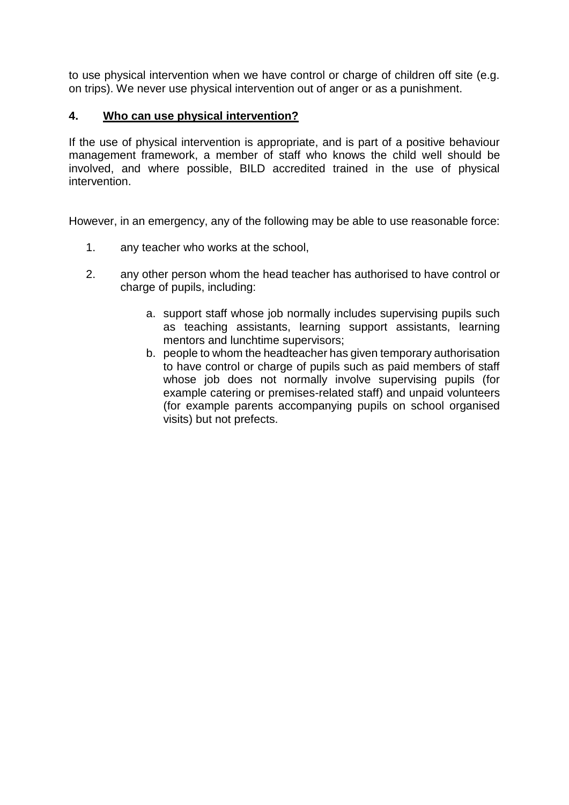to use physical intervention when we have control or charge of children off site (e.g. on trips). We never use physical intervention out of anger or as a punishment.

### **4. Who can use physical intervention?**

If the use of physical intervention is appropriate, and is part of a positive behaviour management framework, a member of staff who knows the child well should be involved, and where possible, BILD accredited trained in the use of physical intervention.

However, in an emergency, any of the following may be able to use reasonable force:

- 1. any teacher who works at the school,
- 2. any other person whom the head teacher has authorised to have control or charge of pupils, including:
	- a. support staff whose job normally includes supervising pupils such as teaching assistants, learning support assistants, learning mentors and lunchtime supervisors;
	- b. people to whom the headteacher has given temporary authorisation to have control or charge of pupils such as paid members of staff whose job does not normally involve supervising pupils (for example catering or premises-related staff) and unpaid volunteers (for example parents accompanying pupils on school organised visits) but not prefects.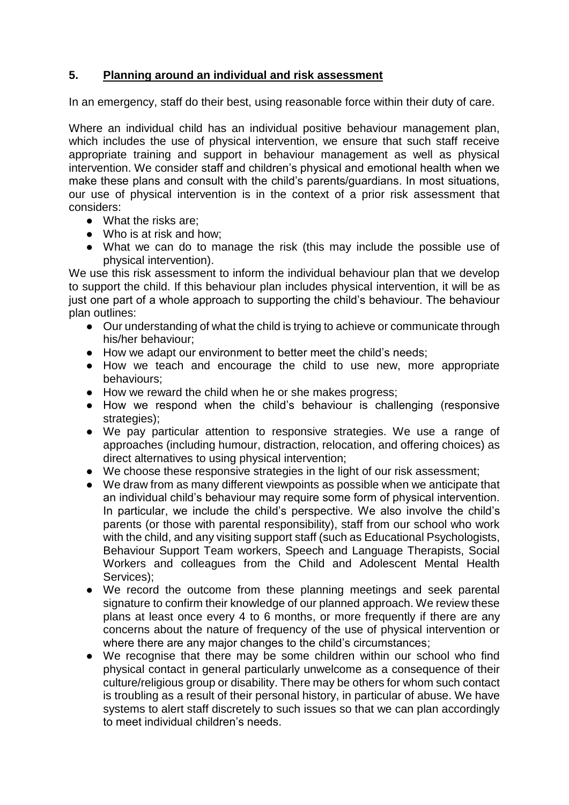# **5. Planning around an individual and risk assessment**

In an emergency, staff do their best, using reasonable force within their duty of care.

Where an individual child has an individual positive behaviour management plan, which includes the use of physical intervention, we ensure that such staff receive appropriate training and support in behaviour management as well as physical intervention. We consider staff and children's physical and emotional health when we make these plans and consult with the child's parents/guardians. In most situations, our use of physical intervention is in the context of a prior risk assessment that considers:

- What the risks are;
- Who is at risk and how:
- What we can do to manage the risk (this may include the possible use of physical intervention).

We use this risk assessment to inform the individual behaviour plan that we develop to support the child. If this behaviour plan includes physical intervention, it will be as just one part of a whole approach to supporting the child's behaviour. The behaviour plan outlines:

- Our understanding of what the child is trying to achieve or communicate through his/her behaviour;
- How we adapt our environment to better meet the child's needs;
- How we teach and encourage the child to use new, more appropriate behaviours;
- How we reward the child when he or she makes progress;
- How we respond when the child's behaviour is challenging (responsive strategies):
- We pay particular attention to responsive strategies. We use a range of approaches (including humour, distraction, relocation, and offering choices) as direct alternatives to using physical intervention;
- We choose these responsive strategies in the light of our risk assessment;
- We draw from as many different viewpoints as possible when we anticipate that an individual child's behaviour may require some form of physical intervention. In particular, we include the child's perspective. We also involve the child's parents (or those with parental responsibility), staff from our school who work with the child, and any visiting support staff (such as Educational Psychologists, Behaviour Support Team workers, Speech and Language Therapists, Social Workers and colleagues from the Child and Adolescent Mental Health Services):
- We record the outcome from these planning meetings and seek parental signature to confirm their knowledge of our planned approach. We review these plans at least once every 4 to 6 months, or more frequently if there are any concerns about the nature of frequency of the use of physical intervention or where there are any major changes to the child's circumstances;
- We recognise that there may be some children within our school who find physical contact in general particularly unwelcome as a consequence of their culture/religious group or disability. There may be others for whom such contact is troubling as a result of their personal history, in particular of abuse. We have systems to alert staff discretely to such issues so that we can plan accordingly to meet individual children's needs.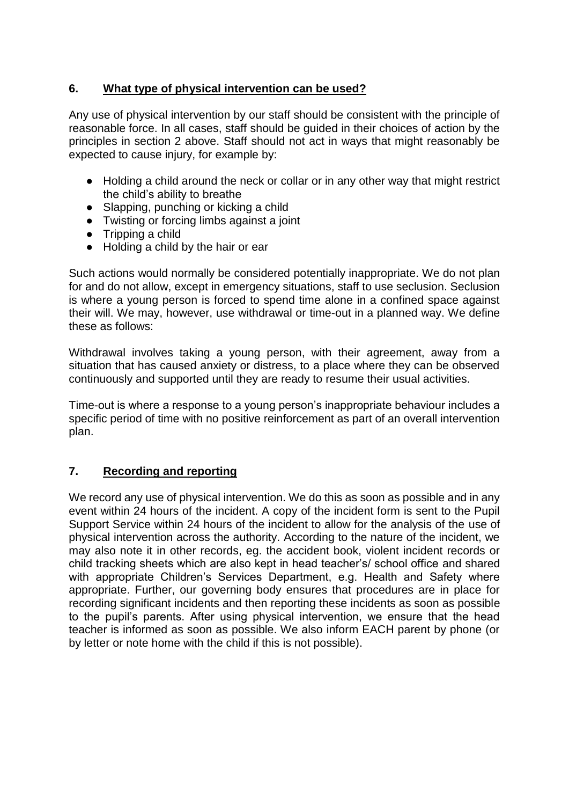# **6. What type of physical intervention can be used?**

Any use of physical intervention by our staff should be consistent with the principle of reasonable force. In all cases, staff should be guided in their choices of action by the principles in section 2 above. Staff should not act in ways that might reasonably be expected to cause injury, for example by:

- Holding a child around the neck or collar or in any other way that might restrict the child's ability to breathe
- Slapping, punching or kicking a child
- Twisting or forcing limbs against a joint
- Tripping a child
- Holding a child by the hair or ear

Such actions would normally be considered potentially inappropriate. We do not plan for and do not allow, except in emergency situations, staff to use seclusion. Seclusion is where a young person is forced to spend time alone in a confined space against their will. We may, however, use withdrawal or time-out in a planned way. We define these as follows:

Withdrawal involves taking a young person, with their agreement, away from a situation that has caused anxiety or distress, to a place where they can be observed continuously and supported until they are ready to resume their usual activities.

Time-out is where a response to a young person's inappropriate behaviour includes a specific period of time with no positive reinforcement as part of an overall intervention plan.

# **7. Recording and reporting**

We record any use of physical intervention. We do this as soon as possible and in any event within 24 hours of the incident. A copy of the incident form is sent to the Pupil Support Service within 24 hours of the incident to allow for the analysis of the use of physical intervention across the authority. According to the nature of the incident, we may also note it in other records, eg. the accident book, violent incident records or child tracking sheets which are also kept in head teacher's/ school office and shared with appropriate Children's Services Department, e.g. Health and Safety where appropriate. Further, our governing body ensures that procedures are in place for recording significant incidents and then reporting these incidents as soon as possible to the pupil's parents. After using physical intervention, we ensure that the head teacher is informed as soon as possible. We also inform EACH parent by phone (or by letter or note home with the child if this is not possible).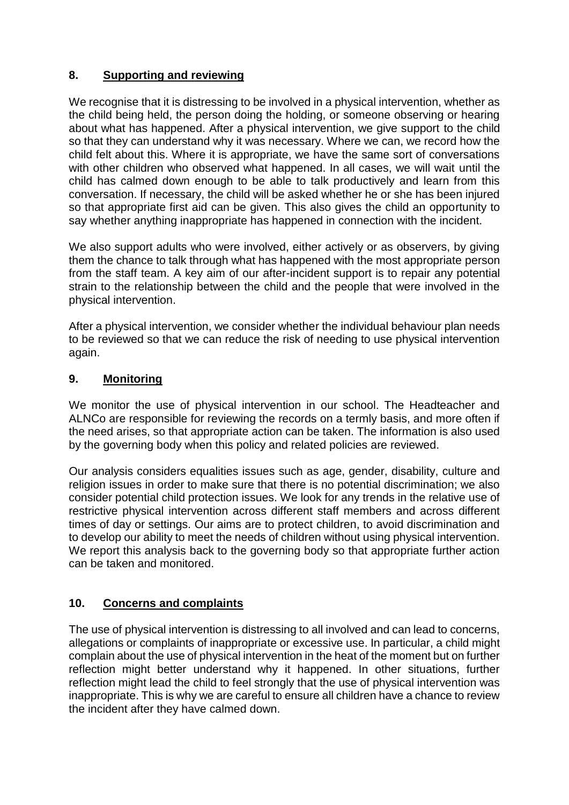# **8. Supporting and reviewing**

We recognise that it is distressing to be involved in a physical intervention, whether as the child being held, the person doing the holding, or someone observing or hearing about what has happened. After a physical intervention, we give support to the child so that they can understand why it was necessary. Where we can, we record how the child felt about this. Where it is appropriate, we have the same sort of conversations with other children who observed what happened. In all cases, we will wait until the child has calmed down enough to be able to talk productively and learn from this conversation. If necessary, the child will be asked whether he or she has been injured so that appropriate first aid can be given. This also gives the child an opportunity to say whether anything inappropriate has happened in connection with the incident.

We also support adults who were involved, either actively or as observers, by giving them the chance to talk through what has happened with the most appropriate person from the staff team. A key aim of our after-incident support is to repair any potential strain to the relationship between the child and the people that were involved in the physical intervention.

After a physical intervention, we consider whether the individual behaviour plan needs to be reviewed so that we can reduce the risk of needing to use physical intervention again.

# **9. Monitoring**

We monitor the use of physical intervention in our school. The Headteacher and ALNCo are responsible for reviewing the records on a termly basis, and more often if the need arises, so that appropriate action can be taken. The information is also used by the governing body when this policy and related policies are reviewed.

Our analysis considers equalities issues such as age, gender, disability, culture and religion issues in order to make sure that there is no potential discrimination; we also consider potential child protection issues. We look for any trends in the relative use of restrictive physical intervention across different staff members and across different times of day or settings. Our aims are to protect children, to avoid discrimination and to develop our ability to meet the needs of children without using physical intervention. We report this analysis back to the governing body so that appropriate further action can be taken and monitored.

# **10. Concerns and complaints**

The use of physical intervention is distressing to all involved and can lead to concerns, allegations or complaints of inappropriate or excessive use. In particular, a child might complain about the use of physical intervention in the heat of the moment but on further reflection might better understand why it happened. In other situations, further reflection might lead the child to feel strongly that the use of physical intervention was inappropriate. This is why we are careful to ensure all children have a chance to review the incident after they have calmed down.